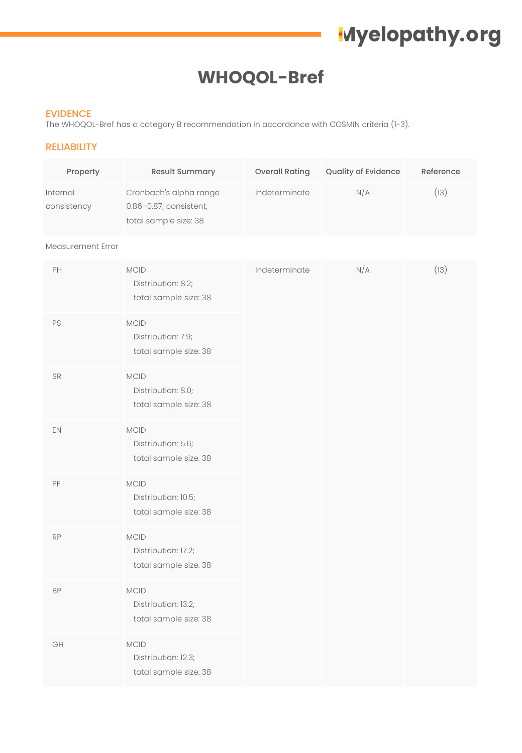# **Myelopathy.org**

# **WHOQOL-Bref**

#### EVIDENCE

The WHOQOL-Bref has a category B recommendation in accordance with COSMIN criteria (1-3).

### RELIABILITY

| Property                | <b>Result Summary</b>                                                     | <b>Overall Rating</b> | <b>Quality of Evidence</b> | Reference |
|-------------------------|---------------------------------------------------------------------------|-----------------------|----------------------------|-----------|
| Internal<br>consistency | Cronbach's alpha range<br>0.86-0.87; consistent;<br>total sample size: 38 | Indeterminate         | N/A                        | [13)      |

#### Measurement Error

| PH        | MCID<br>Distribution: 8.2;<br>total sample size: 38         | Indeterminate | N/A | (13) |
|-----------|-------------------------------------------------------------|---------------|-----|------|
| PS        | MCID<br>Distribution: 7.9;<br>total sample size: 38         |               |     |      |
| SR        | MCID<br>Distribution: 8.0;<br>total sample size: 38         |               |     |      |
| EN        | <b>MCID</b><br>Distribution: 5.6;<br>total sample size: 38  |               |     |      |
| PF        | $MCID$<br>Distribution: 10.5;<br>total sample size: 38      |               |     |      |
| RP        | MCID<br>Distribution: 17.2;<br>total sample size: 38        |               |     |      |
| <b>BP</b> | <b>MCID</b><br>Distribution: 13.2;<br>total sample size: 38 |               |     |      |
| GH        | $MCID$<br>Distribution: 12.3;<br>total sample size: 38      |               |     |      |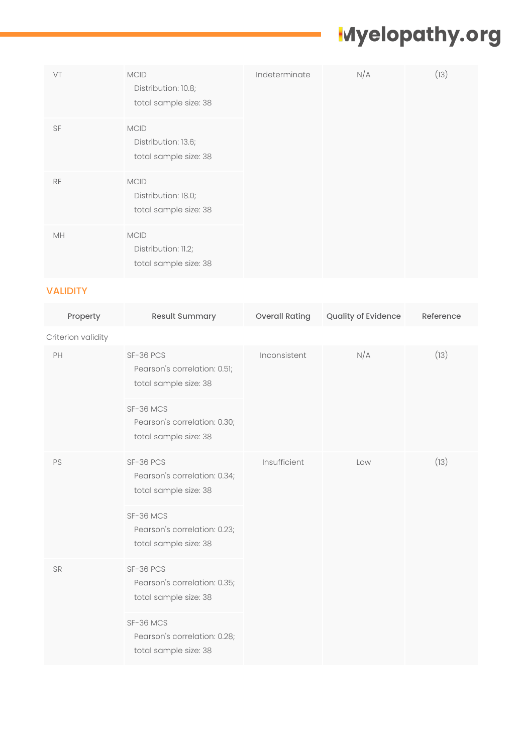# **Myelopathy.org**

| VT        | <b>MCID</b><br>Distribution: 10.8;<br>total sample size: 38 | Indeterminate | N/A | (13) |
|-----------|-------------------------------------------------------------|---------------|-----|------|
| SF        | <b>MCID</b><br>Distribution: 13.6;<br>total sample size: 38 |               |     |      |
| <b>RE</b> | <b>MCID</b><br>Distribution: 18.0;<br>total sample size: 38 |               |     |      |
| MH        | <b>MCID</b><br>Distribution: 11.2;<br>total sample size: 38 |               |     |      |

## VALIDITY

| Property           | Result Summary                                                     | <b>Overall Rating</b> | Quality of Evidence | Reference |
|--------------------|--------------------------------------------------------------------|-----------------------|---------------------|-----------|
| Criterion validity |                                                                    |                       |                     |           |
| PH                 | SF-36 PCS<br>Pearson's correlation: 0.51;<br>total sample size: 38 | Inconsistent          | N/A                 | (13)      |
|                    | SF-36 MCS<br>Pearson's correlation: 0.30;<br>total sample size: 38 |                       |                     |           |
| PS                 | SF-36 PCS<br>Pearson's correlation: 0.34;<br>total sample size: 38 | Insufficient          | Low                 | (13)      |
|                    | SF-36 MCS<br>Pearson's correlation: 0.23;<br>total sample size: 38 |                       |                     |           |
| <b>SR</b>          | SF-36 PCS<br>Pearson's correlation: 0.35;<br>total sample size: 38 |                       |                     |           |
|                    | SF-36 MCS<br>Pearson's correlation: 0.28;<br>total sample size: 38 |                       |                     |           |